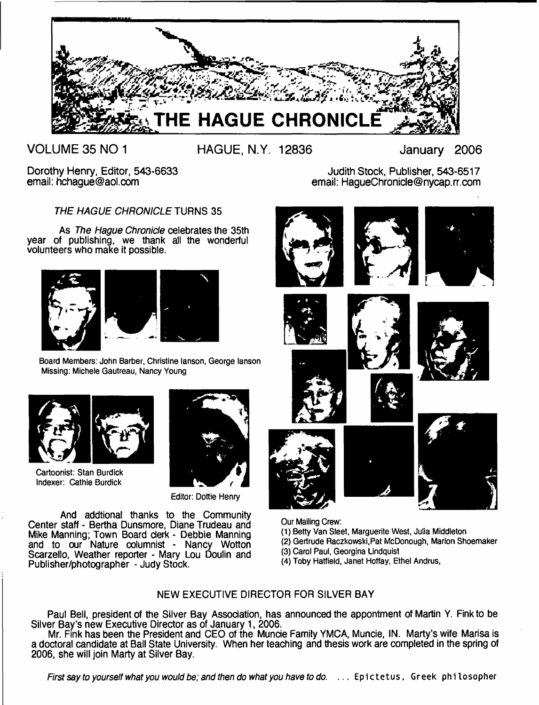

**VOLUME 35 NO 1**

**HAGUE, N.Y. 12836 January 2006**

Dorothy Henry, Editor, 543-6633 email: [hchague@aol.com](mailto:hchague@aol.com)

Judith Stock, Publisher, 543-6517 email: [HagueChronide@nycap.rr.com](mailto:HagueChronide@nycap.rr.com)

*THE HAGUE CHRONICLE* TURNS 35

As *The Hague Chronicle* celebrates the 35th year of publishing, we thank all the wonderful volunteers who make it possible.



**Board Members: John Barber, Christine lanson, George lanson Missing: Michele Gautreau, Nancy Young**



**Cartoonist: Stan Burdick Indexer: Cathie Burdick**



**Editor: Dottie Henry**

And addtional thanks to the Community Center staff - Bertha Dunsmore, Diane Trudeau and Mike Manning; Town Board derk - Debbie Manning and to our Nature columnist - Nancy Wotton Scarzello, Weather reporter - Mary Lou Doulin and Publisher/photographer - Judy Stock.



- **(1) Betty Van Sleet, Marguerite West, Julia Middleton**
- **(2) Gertrude Raczkowski.Pat McDonough, Marion Shoemaker**
- **(3) Carol Paul, Georgina Lindquist**
- **(4) Toby Hatfield, Janet Hoffay, Ethel Andrus,**

# NEW EXECUTIVE DIRECTOR FOR SILVER BAY

Paul Bell, president of the Silver Bay Association, has announced the appontment of Martin Y. Fink to be Silver Bay's new Executive Director as of January 1, 2006.

Mr. Fink has been the President and CEO of the Muncie Family YMCA, Muncie, IN. Marty's wife Marisa is a doctoral candidate at Ball State University. When her teaching and thesis work are completed in the spring of 2006, she will join Marty at Silver Bay.

*First say to yourself what you would be; and then do what you have to do.* ... Epictetus, Greek philosopher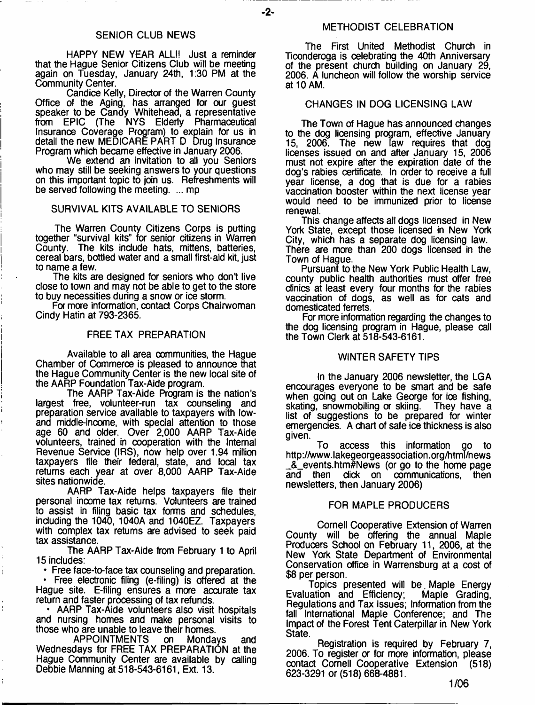-2-

HAPPY NEW YEAR ALL!! Just a reminder that the Hague Senior Citizens Club will be meeting again on Tuesday, January 24th, 1:30 PM at the Community Center.

Candice Kelly, Director of the Warren County Office of the Aging, has arranged for our guest speaker to be Candy Whitehead, a representative from EPIC (The NYS Elderly Pharmaceutical Insurance Coverage Program) to explain for us in detail the new MEDICARE PART D Drug Insurance Program which became effective in January 2006.

We extend an invitation to all you Seniors who may still be seeking answers to your questions on this important topic to join us. Refreshments will be served following the meeting. ... mp

#### SURVIVAL KITS AVAILABLE TO SENIORS

The Warren County Citizens Corps is putting together "survival kits" for senior citizens in Warren County. The kits include hats, mittens, batteries, cereal bars, bottled water and a small first-aid kit, just to name a few.

The kits are designed for seniors who don't live dose to town and may not be able to get to the store to buy necessities during a snow or ice storm.

For more information, contact Corps Chairwoman Cindy Hatin at 793-2365.

#### FREE TAX PREPARATION

Available to all area communities, the Hague Chamber of Commerce is pleased to announce that the Hague Community Center is the new local site of the AARP Foundation Tax-Aide program.

The AARP Tax-Aide Program is the nation's largest free, volunteer-run tax counseling and preparation service available to taxpayers with lowand middle-income, with spedal attention to those age 60 and older. Over 2,000 AARP Tax-Aide volunteers, trained in cooperation with the Internal Revenue Service (IRS), now help over 1.94 million taxpayers file their federal, state, and local tax returns each year at over 8,000 AARP Tax-Aide sites nationwide.

AARP Tax-Aide helps taxpayers file their personal income tax returns. Volunteers are trained to assist in filing basic tax forms and schedules, induding the 1040, 1040A and 1040EZ. Taxpayers with complex tax returns are advised to seek paid tax assistance.

The AARP Tax-Aide from February 1 to April 15 indudes:

• Free face-to-face tax counseling and preparation.

• Free electronic filing (e-filing) is offered at the Hague site. E-filing ensures a more accurate tax return and faster processing of tax refunds.

• AARP Tax-Aide volunteers also visit hospitals and nursing homes and make personal visits to those who are unable to leave their homes.<br>APPOINTMENTS on Mondays

APPOINTMENTS on Mondays and Wednesdays for FREE TAX PREPARATION at the Hague Community Center are available by calling Debbie Manning at 518-543-6161, Ext. 13.

The First United Methodist Church in Ticonderoga is oelebrating the 40th Anniversary of the present church building on January 29, 2006. A luncheon will follow the worship service at 10 AM.

#### CHANGES IN DOG LICENSING LAW

The Town of Hague has announced changes to the dog licensing program, effective January 15, 2006. The new law requires that dog licenses issued on and after January 15, 2006 must not expire after the expiration date of the dog's rabies certificate. In order to receive a full year license, a dog that is due for a rabies vaccination booster within the next license year would need to be immunized prior to license renewal.

This change affects all dogs licensed in New York State, except those licensed in New York City, which has a separate dog licensing law. There are more than 200 dogs licensed in the Town of Hague.

Pursuant to the New York Public Health Law, county public health authorities must offer free clinics at least every four months for the rabies vaccination of dogs, as well as for cats and domesticated ferrets.

For more information regarding the changes to the dog licensing program in Hague, please call the Town Clerk at 518-543-6161.

#### WINTER SAFETY TIPS

In the January 2006 newsletter, the LGA encourages everyone to be smart and be safe when going out on Lake George for ice fishing,<br>skating, snowmobiling or skiing. They have a skating, snowmobiling or skiing. list of suggestions to be prepared for winter emergencies. A chart of safe ice thickness is also given.

To access this information go to <http://www.lakegeorgeassociation.org/html/news> \_&\_events.htm#News (or go to the home page communications, newsletters, then January 2006)

#### FOR MAPLE PRODUCERS

Cornell Cooperative Extension of Warren County will be offering the annual Maple Producers School on February 11, 2006, at the New York State Department of Environmental Conservation office in Warrensburg at a cost of \$8 per person.

Topics presented will be Maple Energy<br>lation and Efficiency; Maple Grading, Evaluation and Efficiency; Regulations and Tax Issues; Information from the fall International Maple Conference; and The Impact of the Forest Tent Caterpillar in New York State.

Registration is required by February 7, 2006. To register or for more information, please contact Cornell Cooperative Extension (518) 623-3291 or (518) 668-4881.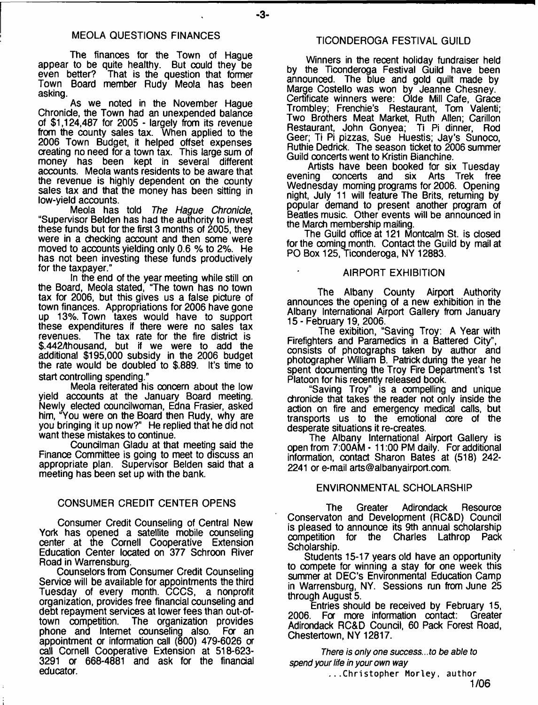#### MEOLA QUESTIONS FINANCES

The finances for the Town of Hague appear to be quite healthy. But could they be even better? That is the question that former Town Board member Rudy Meola has been asking.

As we noted in the November Hague Chronicle, the Town had an unexpended balance of \$1,124,487 for 2005 - largely from its revenue from the county sales tax. When applied to the 2006 Town Budget, it helped offset expenses creating no need for a town tax. This large sum of money has been kept in several different accounts. Meola wants residents to be aware that the revenue is highly dependent on the county sales tax and that the money has been sitting in low-yield accounts.

Meola has told *The Hague Chronicle*, "Supervisor Belden has had the authority to invest these funds but for the first 3 months of 2005, they were in a checking account and then some were moved to accounts yielding only 0.6 % to 2%. He has not been investing these funds productively for the taxpayer."

In the end of the year meeting while still on the Board, Meola stated, "The town has no town tax for 2006, but this gives us a false picture of town finances. Appropriations for 2006 have gone up 13%. Town taxes would have to support these expenditures if there were no sales tax<br>revenues. The tax rate for the fire district is The tax rate for the fire district is \$.442Ahousand, but if we were to add the additional \$195,000 subsidy in the 2006 budget the rate would be doubled to \$.889. It's time to start controlling spending."

Meola reiterated his concern about the low yield accounts at the January Board meeting. Newly elected councilwoman, Edna Frasier, asked him, "You were on the Board then Rudy, why are you bringing it up now?" He replied that he did not want these mistakes to continue.

Councilman Gladu at that meeting said the Finance Committee is going to meet to discuss an appropriate plan. Supervisor Belden said that a meeting has been set up with the bank.

### CONSUMER CREDIT CENTER OPENS

Consumer Credit Counseling of Central New York has opened a satellite mobile counseling center at the Cornell Cooperative Extension Education Center located on 377 Schroon River Road in Warrensburg.

Counselors from Consumer Credit Counseling Service will be available for appointments the third Tuesday of every month. CCCS, a nonprofit organization, provides free financial counseling and debt repayment services at lower fees than out-of-<br>town competition. The organization provides The organization provides<br>t counseling also. For an phone and Internet counseling also. appointment or information call (800) 479-6026 or call Cornell Cooperative Extension at 518-623- 3291 or 668-4881 and ask for the financial educator.

Winners in the recent holiday fundraiser held by the Ticonderoga Festival Guild have been announced. The blue and gold quilt made by Marge Costello was won by Jeanne Chesney. Certificate winners were: Olde Mill Cafe, Grace Trombley; Frenchie's Restaurant, Tom Valenti; Two Brothers Meat Market, Ruth Allen; Carillon Restaurant, John Gonyea; Ti Pi dinner, Rod Geer; Ti Pi pizzas, Sue Huestis; Jay's Sunoco, Ruthie Dedrick. The season ticket to 2006 summer Guild concerts went to Kristin Bianchine.

Artists have been booked for six Tuesday<br>ing concerts and six Arts Trek free evening concerts and six Arts Wednesday morning programs for 2006. Opening night, July 11 will feature The Brits, returning by popular demand to present another program of Beatles music. Other events will be announced in the March membership mailing.

The Guild office at 121 Montcalm St. is closed for the coming month. Contact the Guild by mail at PO Box 125, Ticonderoga, NY 12883.

#### AIRPORT EXHIBITION

The Albany County Airport Authority announces the opening of a new exhibition in the Albany International Airport Gallery from January 15 - February 19, 2006.

The exibition, "Saving Troy: A Year with Firefighters and Paramedics in a Battered City", consists of photographs taken by author and photographer William B. Patrick during the year he spent documenting the Troy Fire Department's 1st Platoon for his recently released book.

"Saving Troy" is a compelling and unique chronicle that takes the reader not only inside the action on fire and emergency medical calls, but transports us to the emotional core of the desperate situations it re-creates.

The Albany International Airport Gallery is open from 7:00AM - 11:00 PM daily. For additional information, contact Sharon Bates at (518) 242- 2241 or e-mail [arts@albanyairport.com.](mailto:arts@albanyairport.com)

#### ENVIRONMENTAL SCHOLARSHIP

The Greater Adirondack Resource Conservaton and Development (RC&D) Council is pleased to announce its 9th annual scholarship competition for the Charles Lathrop Pack Scholarship.

Students 15-17 years old have an opportunity to compete for winning a stay for one week this summer at DEC'S Environmental Education Camp in Warrensburg, NY. Sessions *run* from June 25 through August 5.

Entries should be received by February 15, 2006. For more information contact: Greater Adirondack RC&D Council, 60 Pack Forest Road, Chestertown, NY 12817.

*There is only one success...to be able to spend your life in your own way*

...Christopher Horley, author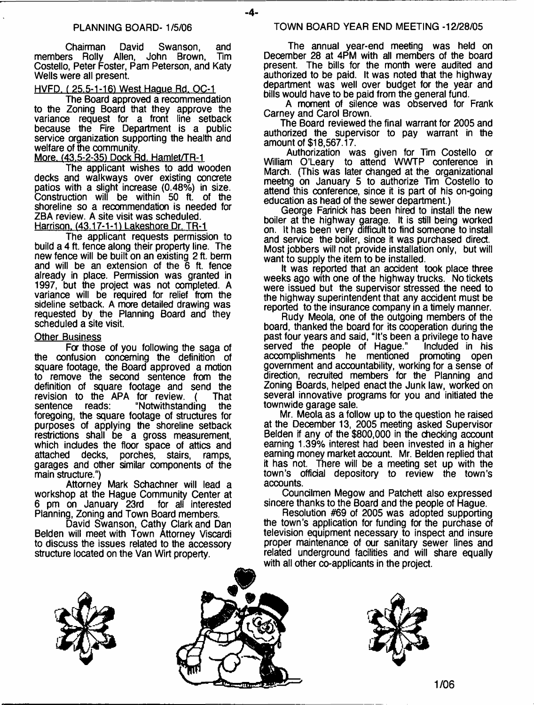$-4-$ 

Chairman David Swanson, and members Rolly Allen, John Brown, Costello, Peter Foster, Pam Peterson, and Katy Wells were all present.

### HVFD. f 25.5-1-161 West Hague Rd. OC-1

The Board approved a recommendation to the Zoning Board that they approve the variance request for a front line setback because the Fire Department is a public service organization supporting the health and welfare of the community.

More. (43.5-2-35) Dock Rd. Hamlet/TR-1

The applicant wishes to add wooden decks and walkways over existing concrete patios with a slight increase (0.48%) in size. Construction will be within 50 ft. of the shoreline so a recommendation is needed for ZBA review. A site visit was scheduled. Harrison. (43.17-1-1) Lakeshore Dr. TR-1

The applicant requests permission to build a 4 ft. fence along their property line. The new fence will be built on an existing 2 ft. berm and will be an extension of the 6 ft. fence already in place. Permission was granted in 1997, but the project was not completed. A variance will be required for relief from the sideline setback. A more detailed drawing was requested by the Planning Board and they scheduled a site visit.

#### Other Business

For those of you following the saga of the confusion concerning the definition of square footage, the Board approved a motion to remove the second sentence from the definition of square footage and send the revision to the APA for review. (That<br>sentence reads: "Notwithstanding the "Notwithstanding the foregoing, the square footage of structures for purposes of applying the shoreline setback restrictions shall be a gross measurement, which includes the floor space of attics and attached decks, porches, stairs, ramps, porches, stairs, ramps, garages and other similar components of the main structure.")

Attorney Mark Schachner will lead a workshop at the Hague Community Center at<br>6 pm on January 23rd for all interested 6 pm on January 23rd for all interested Planning, Zoning and Town Board members.

David Swanson, Cathy Clark and Dan Belden will meet with Town Attorney Viscardi to discuss the issues related to the accessory structure located on the Van Wirt property.

The annual year-end meeting was held on December 28 at 4PM with all members of the board present. The bills for the month were audited and authorized to be paid. It was noted that the highway department was well over budget for the year and bills would have to be paid from the general fund.

A moment of silence was observed for Frank Carney and Carol Brown.

The Board reviewed the final warrant for 2005 and authorized the supervisor to pay warrant in the amount of \$18,567.17.

Authorization was given for Tim Costello a William O'Leary to attend WWTP conference in March. (This was later changed at the organizational meetng on January 5 to authorize Tim Costello to attend this conference, since it is part of his on-going education as head of the sewer department.)

George Farinick has been hired to install the new boiler at the highway garage. It is still being worked on. It has been very difficult to find someone to install and service the boiler, since it was purchased direct. Most jobbers will not provide installation only, but will want to supply the item to be installed.

It was reported that an accident took place three weeks ago with one of the highway trucks. No tickets were issued but the supervisor stressed the need to the highway superintendent that any accident must be reported to the insurance company in a timely manner.

Rudy Meola, one of the outgoing members of the board, thanked the board for its cooperation during the past four years and said, "It's been a privilege to have<br>served the people of Hague." Included in his served the people of Hague." accomplishments he mentioned promoting open government and accountability, working for a sense of direction, recruited members for the Planning and Zoning Boards, helped enact the Junk law, worked on several innovative programs for you and initiated the townwide garage sale.

Mr. Meola as a follow up to the question he raised at the December 13, 2005 meeting asked Supervisor Belden if any of the \$800,000 in the checking account earning 1.39% interest had been invested in a higher earning money market account. Mr. Belden replied that it has not. There will be a meeting set up with the town's official depository to review the town's accounts.

Coundlmen Megow and Patchett also expressed sincere thanks to the Board and the people of Hague.

Resolution #69 of 2005 was adopted supporting the town's application for funding for the purchase of television equipment necessary to inspect and insure proper maintenance of our sanitary sewer lines and related underground facilities and will share equally with all other co-applicants in the project.





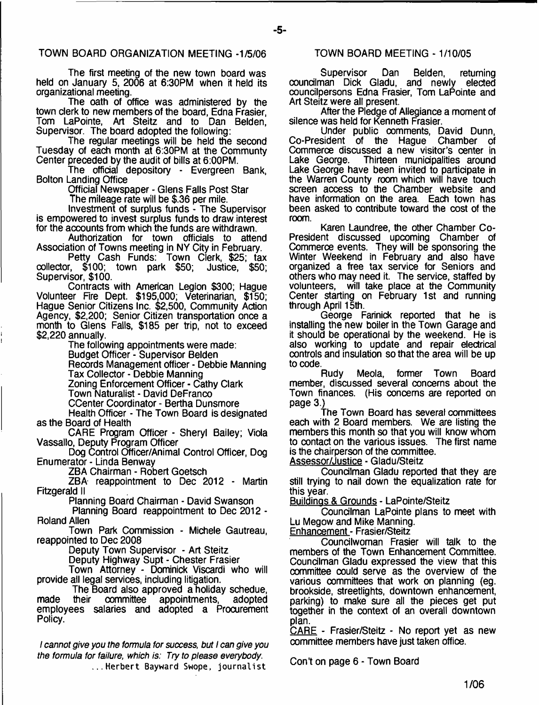The first meeting of the new town board was held on January 5, 2006 at 6:30PM when it held its organizational meeting.

The oath of office was administered by the town clerk to new members of the board, Edna Frasier, Tom LaPointe, Art Steitz and to Dan Belden, Supervisor. The board adopted the following:

The regular meetings will be held the second Tuesday of each month at 6:30PM at the Communty Center preceded by the audit of bills at 6:00PM.

The official depository - Evergreen Bank, Bolton Landing Office

Official Newspaper - Glens Falls Post Star

The mileage rate will be \$.36 per mile.

Investment of surplus funds - The Supervisor is empowered to invest surplus funds to draw interest for the accounts from which the funds are withdrawn.

Authorization for town officials to attend Association of Towns meeting in NY City in February.

Petty Cash Funds: Town Clerk, \$25; tax collector, \$100; town park \$50; Justice, \$50; Supervisor, \$100.

Contracts with American Legion \$300; Hague Volunteer Fire Dept. \$195,000; Veterinarian, \$150; Hague Senior Citizens Inc. \$2,500, Community Action Agency, \$2,200; Senior Citizen transportation once a month to Glens Falls, \$185 per trip, not to exceed \$2,220 annually.

The following appointments were made:

Budget Officer - Supervisor Belden Records Management officer - Debbie Manning Tax Collector - Debbie Manning Zoning Enforcement Officer - Cathy Clark Town Naturalist - David DeFranco

CCenter Coordinator - Bertha Dunsmore

Health Officer - The Town Board is designated as the Board of Health

CARE Program Officer - Sheryl Bailey; Viola Vassallo, Deputy Program Officer

Dog Control Officer/Animal Control Officer, Dog Enumerator - Linda Benway

ZBA Chairman - Robert Goetsch

ZBA reappointment to Dec 2012 - Martin Fitzgerald II

Planning Board Chairman - David Swanson

Planning Board reappointment to Dec 2012 - Roland Allen

Town Park Commission - Michele Gautreau, reappointed to Dec 2008

Deputy Town Supervisor - Art Steitz

Deputy Highway Supt - Chester Frasier

Town Attorney - Dominick Viscardi who will provide all legal services, including litigation.

The Board also approved a holiday schedue,<br>their committee appointments, adopted made their committee appointments, adopted employees salaries and adopted a Procurement Policy.

*I cannot give you the formula for success, but I can give you the formula for failure, which is: Try to please everybody.* ...Herbert Bayward Swope, journalist

#### TOWN BOARD MEETING - 1/10/05

Supervisor Dan Belden, returning councilman Dick Gladu, and newly elected councilpersons Edna Frasier, Tom LaPointe and Art Steitz were all present.

After the Pledge of Allegiance a moment of silence was held for Kenneth Frasier.

Linder public comments, David Dunn, Co-President of the Hague Chamber of Commerce discussed a new visitor's center in<br>Lake George. Thirteen municipalities around Thirteen municipalities around Lake George have been invited to participate in the Warren County room which will have touch screen access to the Chamber website and have information on the area. Each town has been asked to contribute toward the cost of the room.

Karen Laundree, the other Chamber Co-President discussed upcoming Chamber of Commerce events. They will be sponsoring the Winter Weekend in February and also have organized a free tax service for Seniors and others who may need it. The service, staffed by volunteers, will take place at the Community Center starting on February 1st and running through April 15th.

George Farinick reported that he is installing the new boiler in the Town Garage and it should be operational by the weekend. He is also working to update and repair electrical controls and insulation so that the area will be up to code.

Rudy Meola, former Town Board member, discussed several concerns about the Town finances. (His concerns are reported on page 3.)

The Town Board has several committees each with 2 Board members. We are listing the members this month so that you will know whom to contact on the various issues. The first name is the chairperson of the committee.

Assessor/Justice - Gladu/Steitz

Councilman Gladu reported that they are still trying to nail down the equalization rate for this year.

Buildings & Grounds - LaPointe/Steitz

Councilman LaPointe plans to meet with Lu Megow and Mike Manning.

**Enhancement - Frasier/Steitz** 

Coundlwoman Frasier will talk to the members of the Town Enhancement Committee. Councilman Gladu expressed the view that this committee could serve as the overview of the various committees that work on planning (eg. brookside, streetlights, downtown enhancement, parking) to make sure all the pieces get put together in the context of an overall downtown plan.

CARE - Frasier/Steitz - No report yet as new committee members have just taken office.

Con't on page 6 - Town Board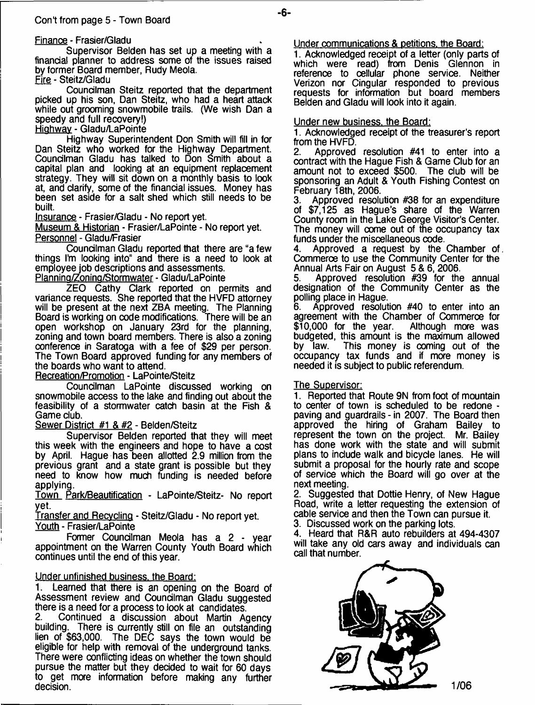Supervisor Belden has set up a meeting with a financial planner to address some of the issues raised by former Board member, Rudy Meola. Fire - Steitz/Gladu

Councilman Steitz reported that the department picked up his son, Dan Steitz, who had a heart attack while out grooming snowmobile trails. (We wish Dan a speedy and full recovery!)

Hiohwav - Gladu/LaPointe

Highway Superintendent Don Smith will fill in for Dan Steitz who worked for the Highway Department. Councilman Gladu has talked to Don Smith about a capital plan and looking at an equipment replacement strategy. They will sit down on a monthly basis to look at, and clarify, some of the financial issues. Money has been set aside for a salt shed which still needs to be built.

Insurance - Frasier/Gladu - No report yet.

Museum & Historian - Frasier/LaPointe - No report yet. Personnel - Gladu/Frasier

Councilman Gladu reported that there are "a few things I'm looking into" and there is a need to look at employee job descriptions and assessments. Plannina/Zonina/Stormwater - Gladu/LaPointe

ZEO Cathy Clark reported on permits and variance requests. She reported that the HVFD attorney will be present at the next ZBA meeting. The Planning Board is working on code modifications. There will be an open workshop on January 23rd for the planning, zoning and town board members. There is also a zoning conference in Saratoga with a fee of \$29 per person. The Town Board approved funding for any members of the boards who want to attend.

Recreation/Promotion - LaPointe/Steitz

Councilman LaPointe discussed working on snowmobile access to the lake and finding out about the feasibility of a stormwater catch basin at the Fish & Game dub.

Sewer District #1 & #2 - Belden/Steitz

Supervisor Belden reported that they will meet this week with the engineers and hope to have a cost by April. Hague has been allotted 2.9 million from the previous grant and a state grant is possible but they need to know how much funding is needed before applying.

Town Park/Beautification - LaPointe/Steitz- No report yet.

Transfer and Recycling - Steitz/Gladu - No report yet. Youth - Frasier/LaPointe

Former Councilman Meola has a 2 - year appointment on the Warren County Youth Board which continues until the end of this year.

# Under unfinished business, the Board:

1. Learned that there is an opening on the Board of Assessment review and Coundlman Gladu suggested there is a need for a process to look at candidates.<br>2. Continued a discussion about Martin A

2. Continued a discussion about Martin Agency building. There is currently still on file an outstanding lien of \$63,000. The DEC says the town would be eligible for help with removal of the underground tanks. There were conflicting ideas on whether the town should pursue the matter but they decided to wait for 60 days to get more information before making any further decision.

Under communications & petitions, the Board:

1. Acknowledged receipt of a letter (only parts of which were read) from Denis Glennon in reference to cellular phone service. Neither Verizon nor Cinqular responded to previous requests for information but board members Belden and Gladu will look into it again.

### Under new business, the Board:

1. Acknowledged receipt of the treasurer's report from the HVFD.

Approved resolution #41 to enter into a contract with the Hague Fish & Game Club for an amount not to exceed \$500. The club will be sponsoring an Adult & Youth Fishing Contest on February 18th, 2006.

Approved resolution #38 for an expenditure of \$7,125 as Hague's share of the Warren County room in the Lake George Visitor's Center. The money will come out of the occupancy tax funds under the miscellaneous code.

4. Approved a request by the Chamber of Commerce to use the Community Center for the Annual Arts Fair on August 5 & 6, 2006.

5. Approved resolution #39 for the annual designation of the Community Center as the polling place in Hague.

6. Approved resolution #40 to enter into an agreement with the Chamber of Commerce for<br>\$10,000 for the year. Although more was  $$10,000$  for the year. budgeted, this amount is the maximum allowed<br>by law. This money is coming out of the This money is coming out of the occupancy tax funds and if more money is needed it is subject to public referendum.

#### The Supervisor:

1. Reported that Route 9N from foot of mountain to center of town is scheduled to be redone paving and guardrails - in 2007. The Board then approved the hiring of Graham Bailey to represent the town on the project. Mr. Bailey has done work with the state and will submit plans to include walk and bicycle lanes. He will submit a proposal for the hourly rate and scope of service which the Board will go over at the next meeting.

2. Suggested that Dottie Henry, of New Hague Road, write a letter requesting the extension of cable service and then the Town can pursue it.

3. Discussed work on the parking lots.

4. Heard that R&R auto rebuilders at 494-4307 will take any old cars away and individuals can call that number.



1/06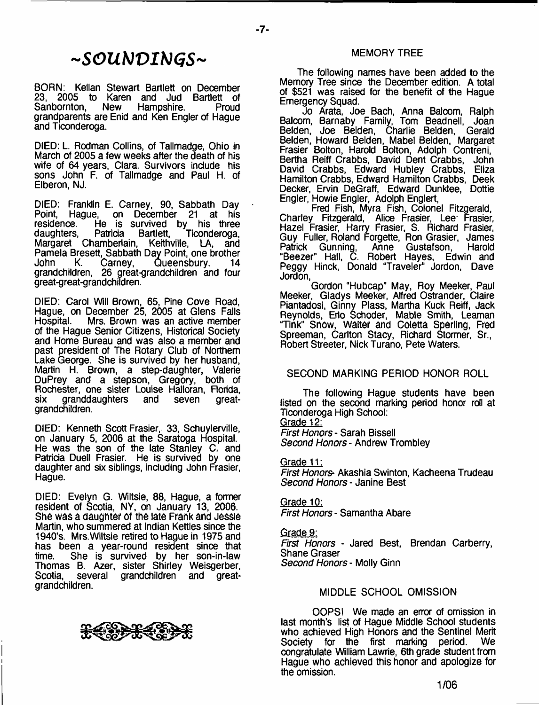# *-SOUNVIHGS-*

BORN: Kellan Stewart Bartlett on December 23, 2005 to Karen and Jud Bartlett of<br>Sanbornton, New Hampshire. Proud Hampshire. grandparents are Enid and Ken Engler of Hague and Ticonderoga.

DIED: L. Rodman Collins, of Tallmadge, Ohio in March of 2005 a few weeks after the death of his wife of 64 years, Clara. Survivors include his sons John F. of Tallmadge and Paul H. of Elberon, NJ.

DIED: Franklin E. Carney, 90, Sabbath Day Point, Hague, on December 21 at his residence. He is survived by his three daughters, Patricia Bartlett, Ticonderoga, Margaret Chamberlain, Keithville, LA, and Pamela Bresett, Sabbath Day Point, one brother John K. Carney, Queensbury. 14 grandchildren, 26 great-grandchildren and four great-great-grandchifdren.

DIED: Carol Will Brown, 65, Pine Cove Road, Hague, on December 25, 2005 at Glens Falls Mrs. Brown was an active member of the Hague Senior Citizens, Historical Society and Home Bureau and was also a member and past president of The Rotary Club of Northern Lake George. She is survived by her husband. Martin H. Brown, a step-daughter, Valerie DuPrey and a stepson, Gregory, both of Rochester, one sister Louise Halloran, Florida, six granddaughters and seven greatgrandchildren.

DIED: Kenneth Scott Frasier, 33, Schuylerville, on January 5, 2006 at the Saratoga Hospital. He was the son of the late Stanley C, and Patricia Duell Frasier. He is survived by one daughter and six siblings, including John Frasier, Hague.

DIED: Evelyn G. Wiltsie, 88, Hague, a former resident of Scotia, NV, on January 13, 2006. **She was a daughter** of **the late Frank and Jessie** Martin, who summered at Indian Kettles since the 1940's. Mrs.Wiltsie retired to Hague in 1975 and has been a year-round resident since that<br>time. She is survived by her son-in-law She is survived by her son-in-law Thomas B. Azer, sister Shirley Weisgerber,<br>Scotia, several grandchildren and greatseveral grandchildren and grandchildren.

The following names have been added to the Memory Tree since the December edition. A total of \$521 was raised for the benefit of the Hague Emergency Squad.

MEMORY TREE

Jo Arata, Joe Bach, Anna Balcom, Ralph Balcom, Barnaby Family, Tom Beadnell, Joan Belden, Joe Belden, Charlie Belden, Gerald Belden, Howard Belden, Mabel Belden, Margaret Frasier Bolton, Harold Bolton, Adolph Contreni, Bertha Reiff Crabbs, David Dent Crabbs, John David Crabbs, Edward Hubley Crabbs, Eliza Hamilton Crabbs, Edward Hamilton Crabbs, Deek Decker, Ervin DeGraff, Edward Dunklee, Dottie Engler, Howie Engler, Adolph Englert,

Fred Fish, Myra Fish, Colonel Fitzgerald, Charley Fitzgerald, Alice Frasier, Lee Frasier, Hazel Frasier, Harry Frasier, S. Richard Frasier, Guy Fuller, Roland Forgette, Ron Grasier, James Patrick Gunning, Anne Gustafson, Harold "Beezer" Hall, C. Robert Hayes, Edwin and Peggy Hinck, Donald "Traveler" Jordon, Dave Jordon,

Gordon "Hubcap" May, Roy Meeker, Paul Meeker, Gladys Meeker, Alfred Ostrander, Claire Piantadosi, Ginny Plass, Martha Kuck Reiff, Jack Reynolds, Erlo Schoder, Mable Smith, Leaman **"Tink" Snow, waiter** and **Coietta Sperling, Fred** Spreeman, Carlton Stacy, Richard Stormer, Sr., Robert Streeter, Nick Turano, Pete Waters.

# SECOND MARKING PERIOD HONOR ROLL

The following Hague students have been listed on the second marking period honor roll at Ticonderoga High School: Grade 12:

*First Honors* - Sarah Bissell *Second Honors* - Andrew Trombley

Grade 11: *First Honors-* Akashia Swinton, Kacheena Trudeau *Second Honors-* Janine Best

Grade 10: *First Honors* - Samantha Abare

Grade 9: *First Honors* - Jared Best, Brendan Carberry, Shane Graser *Second Honors* - Molly Ginn

# MIDDLE SCHOOL OMISSION

OOPS! We made an error of omission in last month's list of Hague Middle School students who achieved High Honors and the Sentinel Merit<br>Society for the first marking period. We Society for the first marking period. congratulate William Lawrie, 6th grade student from Hague who achieved this honor and apologize for the omission.

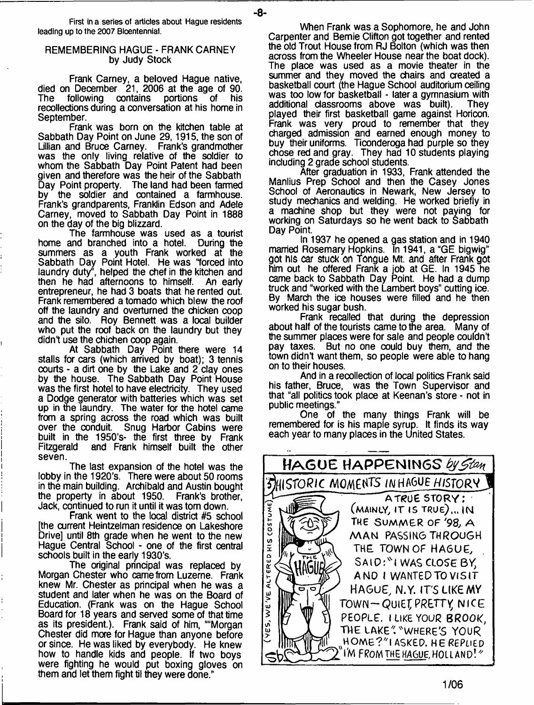**First in a series of articles about Hague residents leading up to the 2007 Bioentennial.**

-8-

#### REMEMBERING HAGUE - FRANK CARNEY by Judy Stock

Frank Carney, a beloved Hague native, died on December 21, 2006 at the age of 90.<br>The following contains portions of his The following contains portions of his recollections during a conversation at his home in September.

Frank was born on the kitchen table at Sabbath Day Point on June 29,1915, the son of Lillian and Bruce Carney. Frank's grandmother was the only living relative of the soldier to whom the Sabbath Day Point Patent had been given and therefore was the heir of the Sabbath<br>Day Point property. The land had been farmed The land had been farmed by the soldier and contained a farmhouse. Frank's grandparents, Franklin Edson and Adele Carney, moved to Sabbath Day Point in 1888 on the day of the big blizzard.

The farmhouse was used as a tourist home and branched into a hotel. During the summers as a youth Frank worked at the Sabbath Day Point Hotel. He was "forced into laundry duty", helped the chef in the kitchen and then he had afternoons to himself. An early entrepreneur, he had 3 boats that he rented out. Frank remembered a tornado which blew the roof off the laundry and overturned the chicken coop and the silo. Roy Bennett was a local builder who put the roof back on the laundry but they didn't use the chichen coop again.

At Sabbath Day Point there were 14 stalls for cars (which arrived by boat); 3 tennis courts - a dirt one by the Lake and 2 clay ones by the house. The Sabbath Day Point House was the first hotel to have electricity. They used a Dodge generator with batteries which was set up in the laundry. The water for the hotel came from a spring across the road which was built over the conduit. Snug Harbor Cabins were over the conduit. Snug Harbor Cabins were built in the 1950's the first three by Frank Fitzgerald and Frank himself built the other seven.

The last expansion of the hotel was the lobby in the 1920's. There were about 50 rooms in the main building. Archibald and Austin bought the property in about 1950. Frank's brother, Jack, continued to run it until it was tom down.

Frank went to the local district #5 school [the current Heintzelman residence on Lakeshore Drive] until 8th grade when he went to the new Hague Central School - one of the first central schools built in the early 1930's.

The original principal was replaced by Morgan Chester who came from Luzerne. Frank knew Mr. Chester as principal when he was a student and later when he was on the Board of Education. (Frank was on the Hague School Board for 18 years and served some of that time as its president.). Frank said of him, ""Morgan Chester did more for Hague than anyone before or since. He was liked by everybody. He knew how to handle kids and people. If two boys were fighting he would put boxing gloves on them and let them fight til they were done."

When Frank was a Sophomore, he and John Carpenter and Bemie Clifton got together and rented the old Trout House from RJ Bolton (which was then across from the Wheeler House near the boat dock). The place was used as a movie theater in the summer and they moved the chairs and created a basketball court (the Hague School auditorium ceiling was too low for basketball - later a gymnasium with<br>additional classrooms above was built). Thev additional classrooms above was built). played their first basketball game against Horicon. Frank was very proud to remember that they charged admission and earned enough money to buy their uniforms. Ticonderoga had purple so they chose red and gray. They had 10 students playing including 2 grade school students.

After graduation in 1933, Frank attended the Manlius Prep School and then the Casey Jones School of Aeronautics in Newark, New Jersey to study mechanics and welding. He worked briefly in a machine shop but they were not paying for working on Saturdays so he went back to Sabbath Day Point.

In 1937 he opened a gas station and in 1940 married Rosemary Hopkins. In 1941, a "GE bigwig" **got** his **car** stuck **on Tongue** Mt. and **after Frank got** him out he offered Frank a job at GE. In 1945 he came back to Sabbath Day Point. He had a dump truck and "worked with the Lambert boys" cutting ice. By March the ice houses were filled and he then worked his sugar bush.

Frank recalled that during the depression about half of the tourists came to the area. Many of the summer places were for sale and people couldn't pay taxes. But no one could buy them, and the town didn't want them, so people were able to hang on to their houses.

And in a recollection of local politics Frank said his father, Bruce, was the Town Supervisor and that "all politics took place at Keenan's store - not in public meetings."

One of the many things Frank will be remembered for is his maple syrup. It finds its way each year to many places in the United States.

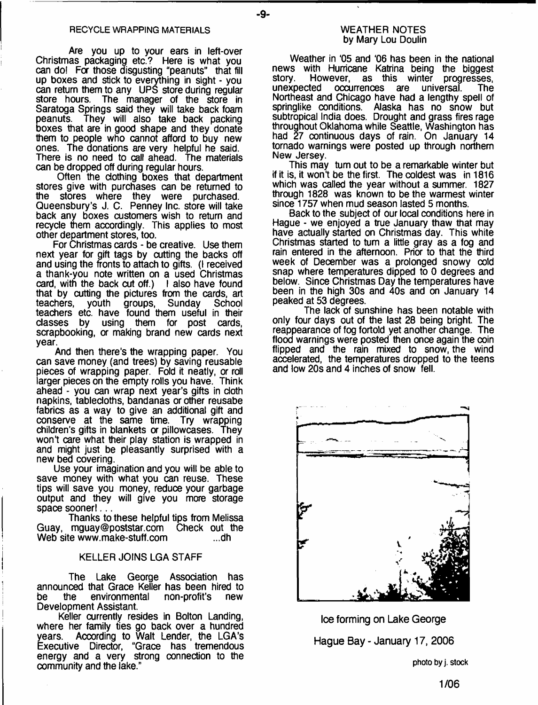-9-

Are you up to your ears in left-over Christmas packaging etc.? Here is what you can do! For those disgusting "peanuts" that fill up boxes and stick to everything in sight - you can return them to any UPS store during regular store hours. The manager of the store in Saratoga Springs said they will take back foam peanuts. They will also take back packing boxes that are in good shape and they donate them to people who cannot afford to buy new ones. The donations are very helpful he said. There is no need to call ahead. The materials can be dropped off during regular hours.

Often the clothing boxes that department stores give with purchases can be returned to the stores where they were purchased. Queensbury's J. C. Penney Inc. store will take back any boxes customers wish to return and recycle them accordingly. This applies to most other department stores, too.

For Christmas cards - be creative. Use them next year for gift tags by cutting the backs off and using the fronts to attach to gifts. (I received a thank-you note written on a used Christmas card, with the back cut off.) I also have found that by cutting the pictures from the cards, art teachers, youth groups, Sunday School teachers etc. have found them useful in their classes by using them for post cards, scrapbooking, or making brand new cards next year.

And then there's the wrapping paper. You can save money (and trees) by saving reusable pieces of wrapping paper. Fold it neatly, or roll larger pieces on the empty rolls you have. Think ahead - you can wrap next year's gifts in doth napkins, tablecloths, bandanas or other reusabe fabrics as a way to give an additional gift and conserve at the same time. Try wrapping children's gifts in blankets or pillowcases. They won't care what their play station is wrapped in and might just be pleasantly surprised with a new bed covering.

Use your imagination and you will be able to save money with what you can reuse. These tips will save you money, reduce your garbage output and they will give you more storage space sooner!...

Thanks to these helpful tips from Melissa Guay, [mguay@poststar.com](mailto:mguay@poststar.com) Check out the<br>Web site www.make-stuff.com ....dh Web site www.make-stuff.com

#### KELLER JOINS LGA STAFF

The Lake George Assodation has announced that Grace Keller has been hired to be the environmental Development Assistant.

Keller currently resides in Bolton Landing, where her family ties go back over a hundred years. According to Walt Lender, the LGA's "Grace has tremendous energy and a very strong connection to the oommunity and the lake."

Weather in '05 and '06 has been in the national news with Hurricane Katrina being the biggest story. However, as this winter progresses,<br>unexpected occurrences are universal. The occurrences are universal. The Northeast and Chicago have had a lengthy spell of springlike conditions. Alaska has no snow but subtropical India does. Drought and grass fires rage throughout Oklahoma while Seattle, Washington has had 27 continuous days of rain. On January 14 tornado warnings were posted up through northern New Jersey.

This may turn out to be a remarkable winter but if it is, it won't be the first. The coldest was in 1816 which was called the year without a summer. 1827 through 1828 was known to be the warmest winter since 1757 when mud season lasted 5 months.

Back to the subject of our local conditions here in Hague - we enjoyed a true January thaw that may have actually started on Christmas day. This white Christmas started to turn a little gray as a fog and rain entered in the afternoon. Prior to that the third week of December was a prolonged snowy cold snap where temperatures dipped to 0 degrees and below. Since Christmas Day the temperatures have been in the high 30s and 40s and on January 14 peaked at 53 degrees.

The lack of sunshine has been notable with only four days out of the last 28 being bright. The reappearance of fog fortold yet another change. The flood warnings were posted then once again the coin flipped and the rain mixed to snow, the wind accelerated, the temperatures dropped to the teens and low 20s and 4 inches of snow fell.



**Ice forming on Lake George Hague Bay - January 17, 2006**

**photo by j. stock**